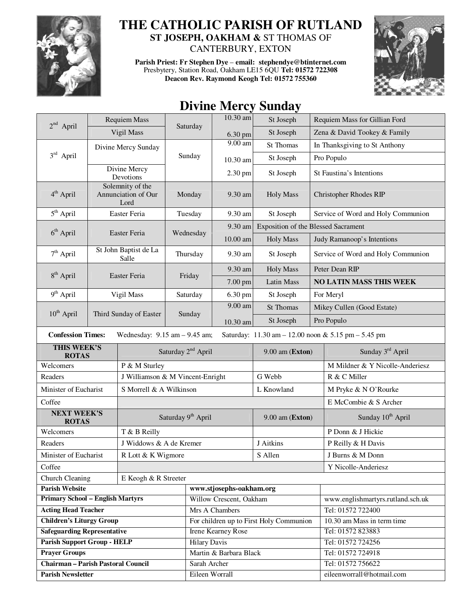

## **THE CATHOLIC PARISH OF RUTLAND ST JOSEPH, OAKHAM &** ST THOMAS OF CANTERBURY, EXTON

**Parish Priest: Fr Stephen Dye** – **email: stephendye@btinternet.com** Presbytery, Station Road, Oakham LE15 6QU **Tel: 01572 722308 Deacon Rev. Raymond Keogh Tel: 01572 755360** 



## **Divine Mercy Sunday**

|                                                                                                                      | Requiem Mass                                    |                                  | Saturday                       | 10.30 am                       | St Joseph                               |  | Requiem Mass for Gillian Ford                  |  |
|----------------------------------------------------------------------------------------------------------------------|-------------------------------------------------|----------------------------------|--------------------------------|--------------------------------|-----------------------------------------|--|------------------------------------------------|--|
| $2^{nd}$ April                                                                                                       |                                                 | Vigil Mass                       |                                | 6.30 pm                        | St Joseph                               |  | Zena & David Tookey & Family                   |  |
|                                                                                                                      | Divine Mercy Sunday                             |                                  |                                | 9.00 am                        | St Thomas                               |  | In Thanksgiving to St Anthony                  |  |
| $3rd$ April                                                                                                          |                                                 |                                  |                                | 10.30 am                       | St Joseph                               |  | Pro Populo                                     |  |
|                                                                                                                      | Divine Mercy<br>Devotions                       |                                  |                                | 2.30 pm                        | St Joseph                               |  | St Faustina's Intentions                       |  |
| 4 <sup>th</sup> April                                                                                                | Solemnity of the<br>Annunciation of Our<br>Lord |                                  | Monday                         | 9.30 am                        | <b>Holy Mass</b>                        |  | <b>Christopher Rhodes RIP</b>                  |  |
| 5 <sup>th</sup> April                                                                                                | Easter Feria                                    |                                  | Tuesday                        | 9.30 am                        | St Joseph                               |  | Service of Word and Holy Communion             |  |
|                                                                                                                      | Easter Feria                                    |                                  | Wednesday                      | 9.30 am                        | Exposition of the Blessed Sacrament     |  |                                                |  |
| $6th$ April                                                                                                          |                                                 |                                  |                                | 10.00 am                       | <b>Holy Mass</b>                        |  | Judy Ramanoop's Intentions                     |  |
| $7th$ April                                                                                                          | St John Baptist de La<br>Salle                  |                                  | Thursday                       | 9.30 am                        | St Joseph                               |  | Service of Word and Holy Communion             |  |
|                                                                                                                      |                                                 |                                  |                                | 9.30 am                        | <b>Holy Mass</b>                        |  | Peter Dean RIP                                 |  |
| $8th$ April                                                                                                          | Easter Feria                                    |                                  | Friday                         | 7.00 pm                        | Latin Mass                              |  | <b>NO LATIN MASS THIS WEEK</b>                 |  |
| 9 <sup>th</sup> April                                                                                                |                                                 | Vigil Mass                       | Saturday                       | 6.30 pm                        | St Joseph                               |  | For Meryl                                      |  |
|                                                                                                                      |                                                 |                                  |                                | 9.00 am                        | St Thomas                               |  | Mikey Cullen (Good Estate)                     |  |
| $10^{th}$ April                                                                                                      | Third Sunday of Easter                          |                                  | Sunday                         | 10.30 am                       | St Joseph                               |  | Pro Populo                                     |  |
| <b>Confession Times:</b><br>Wednesday: $9.15$ am $- 9.45$ am;<br>Saturday: 11.30 am - 12.00 noon & 5.15 pm - 5.45 pm |                                                 |                                  |                                |                                |                                         |  |                                                |  |
| THIS WEEK'S                                                                                                          |                                                 | Saturday 2 <sup>nd</sup> April   |                                |                                |                                         |  |                                                |  |
|                                                                                                                      |                                                 |                                  |                                |                                | 9.00 am (Exton)                         |  | Sunday 3 <sup>rd</sup> April                   |  |
| <b>ROTAS</b><br>Welcomers                                                                                            |                                                 | P & M Sturley                    |                                |                                |                                         |  | M Mildner & Y Nicolle-Anderiesz                |  |
| Readers                                                                                                              |                                                 | J Williamson & M Vincent-Enright |                                |                                | G Webb                                  |  | R & C Miller                                   |  |
| Minister of Eucharist                                                                                                |                                                 | S Morrell & A Wilkinson          |                                |                                | L Knowland                              |  | M Pryke & N O'Rourke                           |  |
| Coffee                                                                                                               |                                                 |                                  |                                |                                |                                         |  | E McCombie & S Archer                          |  |
| <b>NEXT WEEK'S</b><br><b>ROTAS</b>                                                                                   |                                                 |                                  | Saturday 9 <sup>th</sup> April |                                | $9.00$ am (Exton)                       |  | Sunday 10 <sup>th</sup> April                  |  |
| Welcomers                                                                                                            |                                                 | T & B Reilly                     |                                |                                |                                         |  | P Donn & J Hickie                              |  |
| Readers                                                                                                              |                                                 | J Widdows & A de Kremer          |                                |                                | J Aitkins                               |  | P Reilly & H Davis                             |  |
| Minister of Eucharist                                                                                                |                                                 | R Lott & K Wigmore               |                                |                                | S Allen                                 |  | J Burns & M Donn                               |  |
| Coffee                                                                                                               |                                                 |                                  |                                |                                |                                         |  | Y Nicolle-Anderiesz                            |  |
| Church Cleaning                                                                                                      |                                                 | E Keogh & R Streeter             |                                |                                |                                         |  |                                                |  |
| <b>Parish Website</b>                                                                                                |                                                 |                                  |                                | www.stjosephs-oakham.org       |                                         |  |                                                |  |
| <b>Primary School - English Martyrs</b>                                                                              |                                                 |                                  |                                | Willow Crescent, Oakham        |                                         |  | www.englishmartyrs.rutland.sch.uk              |  |
| <b>Acting Head Teacher</b>                                                                                           |                                                 |                                  |                                | Mrs A Chambers                 |                                         |  | Tel: 01572 722400                              |  |
| <b>Children's Liturgy Group</b>                                                                                      |                                                 |                                  |                                |                                | For children up to First Holy Communion |  | 10.30 am Mass in term time                     |  |
| <b>Safeguarding Representative</b>                                                                                   |                                                 |                                  |                                | <b>Irene Kearney Rose</b>      |                                         |  | Tel: 01572 823883                              |  |
| <b>Parish Support Group - HELP</b>                                                                                   |                                                 |                                  | <b>Hilary Davis</b>            |                                |                                         |  | Tel: 01572 724256                              |  |
| <b>Prayer Groups</b>                                                                                                 |                                                 |                                  |                                | Martin & Barbara Black         |                                         |  | Tel: 01572 724918                              |  |
| <b>Chairman - Parish Pastoral Council</b><br><b>Parish Newsletter</b>                                                |                                                 |                                  |                                | Sarah Archer<br>Eileen Worrall |                                         |  | Tel: 01572 756622<br>eileenworrall@hotmail.com |  |